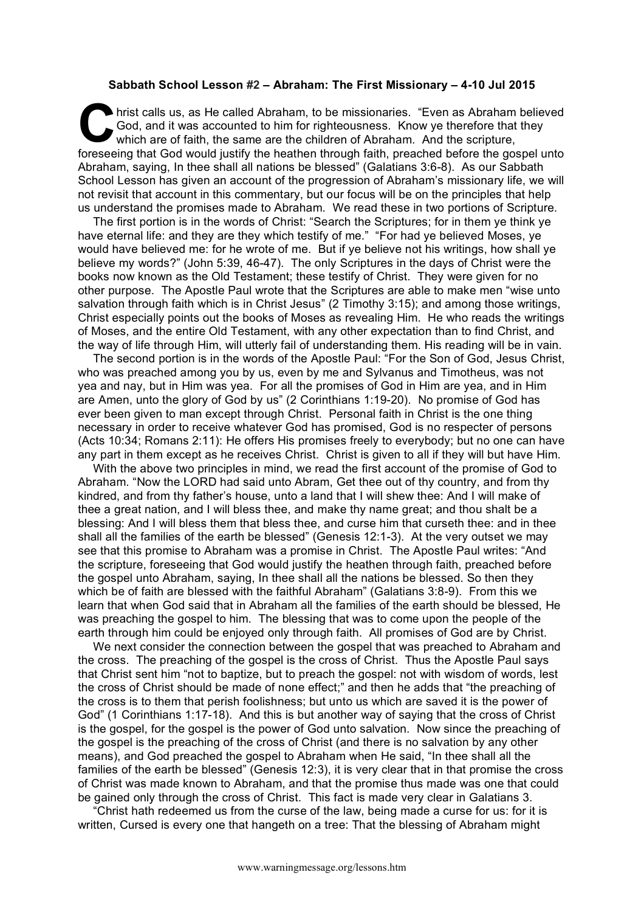## **Sabbath School Lesson #2 – Abraham: The First Missionary – 4-10 Jul 2015**

hrist calls us, as He called Abraham, to be missionaries. "Even as Abraham believed God, and it was accounted to him for righteousness. Know ye therefore that they which are of faith, the same are the children of Abraham. God, and it was accounted to him for righteousness. Know ye therefore that they which are of faith, the same are the children of Abraham. And the scripture, foreseeing that God would justify the heathen through faith, preached before the gospel unto Abraham, saying, In thee shall all nations be blessed" (Galatians 3:6-8). As our Sabbath School Lesson has given an account of the progression of Abraham's missionary life, we will not revisit that account in this commentary, but our focus will be on the principles that help us understand the promises made to Abraham. We read these in two portions of Scripture.

The first portion is in the words of Christ: "Search the Scriptures; for in them ye think ye have eternal life: and they are they which testify of me." "For had ye believed Moses, ye would have believed me: for he wrote of me. But if ye believe not his writings, how shall ye believe my words?" (John 5:39, 46-47). The only Scriptures in the days of Christ were the books now known as the Old Testament; these testify of Christ. They were given for no other purpose. The Apostle Paul wrote that the Scriptures are able to make men "wise unto salvation through faith which is in Christ Jesus" (2 Timothy 3:15); and among those writings, Christ especially points out the books of Moses as revealing Him. He who reads the writings of Moses, and the entire Old Testament, with any other expectation than to find Christ, and the way of life through Him, will utterly fail of understanding them. His reading will be in vain.

The second portion is in the words of the Apostle Paul: "For the Son of God, Jesus Christ, who was preached among you by us, even by me and Sylvanus and Timotheus, was not yea and nay, but in Him was yea. For all the promises of God in Him are yea, and in Him are Amen, unto the glory of God by us" (2 Corinthians 1:19-20). No promise of God has ever been given to man except through Christ. Personal faith in Christ is the one thing necessary in order to receive whatever God has promised, God is no respecter of persons (Acts 10:34; Romans 2:11): He offers His promises freely to everybody; but no one can have any part in them except as he receives Christ. Christ is given to all if they will but have Him.

With the above two principles in mind, we read the first account of the promise of God to Abraham. "Now the LORD had said unto Abram, Get thee out of thy country, and from thy kindred, and from thy father's house, unto a land that I will shew thee: And I will make of thee a great nation, and I will bless thee, and make thy name great; and thou shalt be a blessing: And I will bless them that bless thee, and curse him that curseth thee: and in thee shall all the families of the earth be blessed" (Genesis 12:1-3). At the very outset we may see that this promise to Abraham was a promise in Christ. The Apostle Paul writes: "And the scripture, foreseeing that God would justify the heathen through faith, preached before the gospel unto Abraham, saying, In thee shall all the nations be blessed. So then they which be of faith are blessed with the faithful Abraham" (Galatians 3:8-9). From this we learn that when God said that in Abraham all the families of the earth should be blessed, He was preaching the gospel to him. The blessing that was to come upon the people of the earth through him could be enjoyed only through faith. All promises of God are by Christ.

We next consider the connection between the gospel that was preached to Abraham and the cross. The preaching of the gospel is the cross of Christ. Thus the Apostle Paul says that Christ sent him "not to baptize, but to preach the gospel: not with wisdom of words, lest the cross of Christ should be made of none effect;" and then he adds that "the preaching of the cross is to them that perish foolishness; but unto us which are saved it is the power of God" (1 Corinthians 1:17-18). And this is but another way of saying that the cross of Christ is the gospel, for the gospel is the power of God unto salvation. Now since the preaching of the gospel is the preaching of the cross of Christ (and there is no salvation by any other means), and God preached the gospel to Abraham when He said, "In thee shall all the families of the earth be blessed" (Genesis 12:3), it is very clear that in that promise the cross of Christ was made known to Abraham, and that the promise thus made was one that could be gained only through the cross of Christ. This fact is made very clear in Galatians 3.

"Christ hath redeemed us from the curse of the law, being made a curse for us: for it is written, Cursed is every one that hangeth on a tree: That the blessing of Abraham might